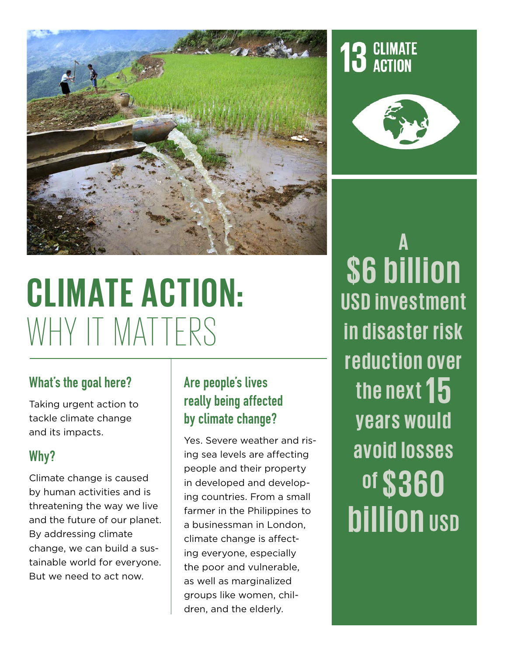

# **CLIMATE ACTION:**  WHY IT MATTERS

#### What's the goal here?

Taking urgent action to tackle climate change and its impacts.

#### Why?

Climate change is caused by human activities and is threatening the way we live and the future of our planet. By addressing climate change, we can build a sustainable world for everyone. But we need to act now.

#### Are people's lives really being affected by climate change?

Yes. Severe weather and rising sea levels are affecting people and their property in developed and developing countries. From a small farmer in the Philippines to a businessman in London, climate change is affecting everyone, especially the poor and vulnerable, as well as marginalized groups like women, children, and the elderly.





**A \$6 billion USD investment in disaster risk reduction over the next 15 years would avoid losses of \$ 360 billion USD**